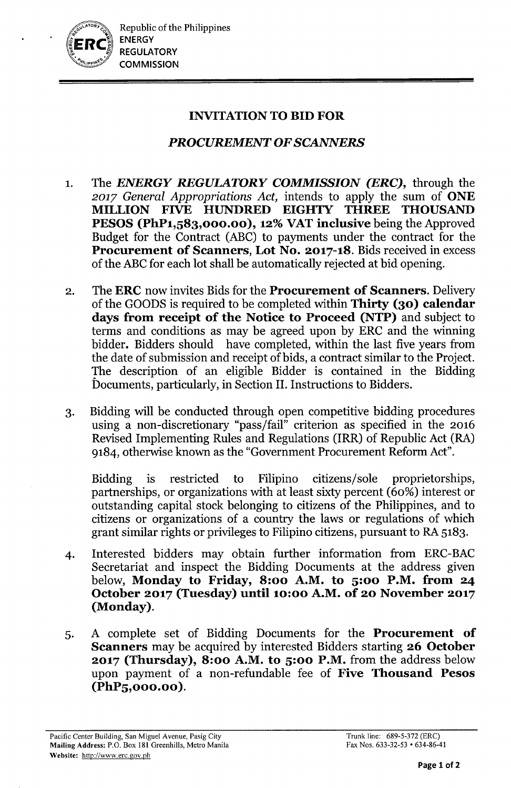

## INVITATION TO BID FOR

# *PROCUREMENT OFSCANNERS*

- 1. The *ENERGY REGULATORY COMMISSION (ERC),* through the *2017 General Appropriations Act,* intends to apply the sum of ONE MILLION FIVE HUNDRED EIGHTY THREE THOUSAND PESOS (PhP1,583,000.00), 12% VAT inclusive being the Approved Budget for the Contract (ABC) to payments under the contract for the Procurement of Scanners, Lot No. 2017-18. Bids received in excess of the ABC for each lot shall be automatically rejected at bid opening.
- 2. The ERC now invites Bids for the Procurement of Scanners. Delivery of the GOODS is required to be completed within Thirty (30) calendar days from receipt of the Notice to Proceed (NTP) and subject to terms and conditions as may be agreed upon by ERC and the winning bidder. Bidders should have completed, within the last five years from the date of submission and receipt of bids, a contract similar to the Project. The description of an eligible Bidder is contained in the Bidding Documents, particularly, in Section II. Instructions to Bidders.
- 3. Bidding will be conducted through open competitive bidding procedures using a non-discretionary "pass/fail" criterion as specified in the 2016 Revised Implementing Rules and Regulations (IRR) of Republic Act (RA) 9184, otherwise known as the "Government Procurement Reform Act".

Bidding is restricted to Filipino citizens/sole proprietorships, partnerships, or organizations with at least sixty percent (60%) interest or outstanding capital stock belonging to citizens of the Philippines, and to citizens or organizations of a country the laws or regulations of which grant similar rights or privileges to Filipino citizens, pursuant to RA 5183.

- 4. Interested bidders may obtain further information from ERC-BAC Secretariat and inspect the Bidding Documents at the address given below, Monday to Friday, 8:00 A.M. to 5:00 P.M. from 24 October 2017 (Tuesday) until 10:00 A.M. of 20 November 2017 (Monday).
- 5. A complete set of Bidding Documents for the Procurement of Scanners may be acquired by interested Bidders starting 26 October 2017 (Thursday), 8:00 A.M. to 5:00 P.M. from the address below upon payment of a non-refundable fee of Five Thousand Pesos (PhP5,000.00 ).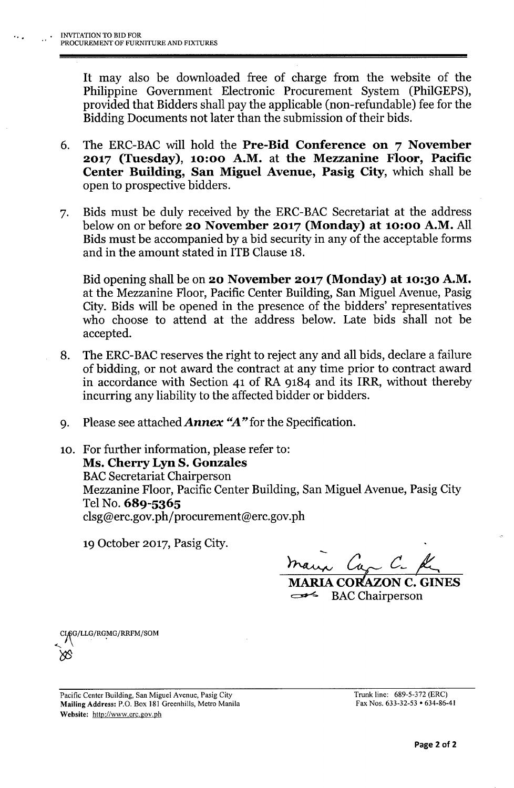It may also be downloaded free of charge from the website of the Philippine Government Electronic Procurement System (PhiIGEPS), provided that Bidders shall pay the applicable (non-refundable) fee for the Bidding Documents not later than the submission of their bids.

- 6. The ERC-BAC will hold the Pre-Bid Conference on 7 November 2017 (Tuesday), 10:00 A.M. at the Mezzanine Floor, Pacific Center Building, San Miguel Avenue, Pasig City, which shall be open to prospective bidders.
- 7. Bids must be duly received by the ERC-BAC Secretariat at the address below on or before 20 November 2017 (Monday) at 10:00 A.M. All Bids must be accompanied by a bid security in any of the acceptable forms and in the amount stated in ITB Clause 18.

Bid opening shall be on 20 November 2017 (Monday) at 10:30 A.M. at the Mezzanine Floor, Pacific Center Building, San Miguel Avenue, Pasig City. Bids will be opened in the presence of the bidders' representatives who choose to attend at the address below. Late bids shall not be accepted.

- 8. The ERC-BAC reserves the right to reject any and all bids, declare a failure of bidding, or not award the contract at any time prior to contract award in accordance with Section 41 of RA 9184 and its IRR, without thereby incurring any liability to the affected bidder or bidders.
- 9. Please see attached *Annex "A"* for the Specification.
- 10. For further information, please refer to: Ms. Cherry Lyn S. Gonzales **BAC Secretariat Chairperson** Mezzanine Floor, Pacific Center Building, San Miguel Avenue, Pasig City Tel No. 689-5365 [clsg@erc.gov.ph/procurement@erc.gov.ph](mailto:clsg@erc.gov.ph/procurement@erc.gov.ph)

19 October 2017, Pasig City.

 $n_{\rm{max}}$  Cap C. R

MARIA CORAZON C. GINES **EXAC Chairperson** 

,Cy\G/LLG/RG.MG/RRFM/SOM  $\delta$ 

Pacific Center Building, San Miguel Avenue, Pasig City Mailing Address: P.O. Box 181 Greenhills, Metro Manila Website: <http://www.erc.gov.ph>

Trunk line: 689-5-372 (ERC) Fax Nos. 633-32-53 • 634-86-41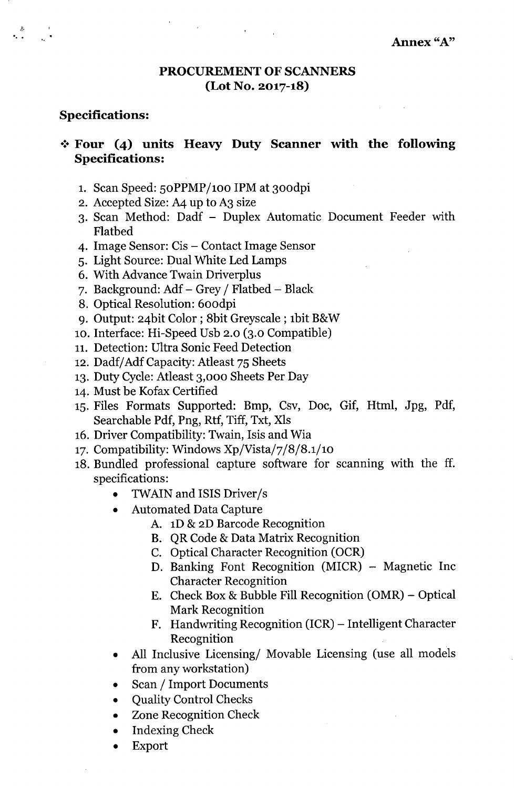#### PROCUREMENT OF SCANNERS (Lot No. 2017-18)

#### Specifications:

### $\div$  Four (4) units Heavy Duty Scanner with the following Specifications:

- 1. Scan Speed: 50PPMP/100 IPM at 300dpi
- 2. Accepted Size: A4 up to A3 size
- 3. Scan Method: Dadf Duplex Automatic Document Feeder with Flatbed
- 4. Image Sensor: Cis Contact Image Sensor
- 5. Light Source: Dual White Led Lamps
- 6. With Advance Twain Driverplus
- 7. Background:  $Adf Grey / Flabeled Black$
- S. Optical Resolution: 600dpi
- 9. Output: 24bit Color; Sbit Greyscale ; 1bit B&W
- 10. Interface: Hi-Speed Usb 2.0 (3.0 Compatible)
- 11. Detection: Ultra Sonic Feed Detection
- 12. Dadf/ Adf Capacity: Atleast 75 Sheets
- 13. Duty Cycle: Atleast 3,000 Sheets Per Day
- 14. Must be Kofax Certified
- 15. Files Formats Supported: Bmp, Csv, Doc, Gif, Html, Jpg, Pdf, Searchable Pdf, Png, Rtf, Tiff, Txt, XIs
- 16. Driver Compatibility: Twain, Isis and Wia
- 17. Compatibility: Windows Xp/Vista/7/S/S.1/10
- 18. Bundled professional capture software for scanning with the ff. specifications:
	- TWAIN and ISIS Driver /s
	- Automated Data Capture
		- A. 1D & 2D Barcode Recognition
		- B. QR Code & Data Matrix Recognition
		- C. Optical Character Recognition (OCR)
		- D. Banking Font Recognition (MICR) Magnetic Inc Character Recognition
		- E. Check Box & Bubble Fill Recognition  $(OMR)$  Optical Mark Recognition
		- F. Handwriting Recognition (ICR) Intelligent Character Recognition
	- All Inclusive Licensing/ Movable Licensing (use all models from any workstation)
	- Scan / Import Documents
	- Quality Control Checks
	- Zone Recognition Check
	- Indexing Check
	- Export